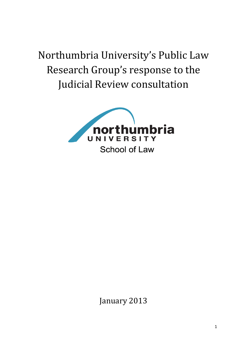Northumbria University's Public Law Research Group's response to the Judicial Review consultation



January 2013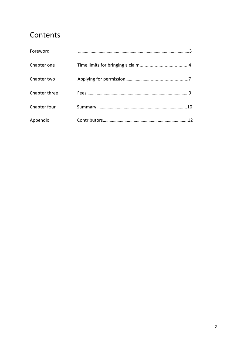### **Contents**

| Foreword      |     |
|---------------|-----|
| Chapter one   |     |
| Chapter two   |     |
| Chapter three |     |
| Chapter four  | .10 |
| Appendix      |     |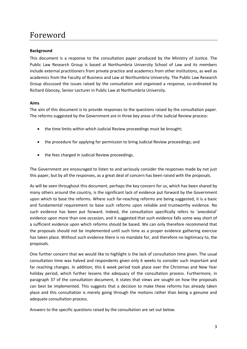## Foreword

#### **Background**

This document is a response to the consultation paper produced by the Ministry of Justice. The Public Law Research Group is based at Northumbria University School of Law and its members include external practitioners from private practice and academics from other institutions, as well as academics from the Faculty of Business and Law at Northumbria University. The Public Law Research Group discussed the issues raised by the consultation and organised a response, co-ordinated by Richard Glancey, Senior Lecturer in Public Law at Northumbria University.

#### **Aims**

The aim of this document is to provide responses to the questions raised by the consultation paper. The reforms suggested by the Government are in three key areas of the Judicial Review process:

- the time limits within which Judicial Review proceedings must be brought;
- the procedure for applying for permission to bring Judicial Review proceedings; and
- the fees charged in Judicial Review proceedings.

The Government are encouraged to listen to and seriously consider the responses made by not just this paper, but by all the responses, as a great deal of concern has been raised with the proposals.

As will be seen throughout this document, perhaps the key concern for us, which has been shared by many others around the country, is the significant lack of evidence put forward by the Government upon which to base the reforms. Where such far-reaching reforms are being suggested, it is a basic and fundamental requirement to base such reforms upon reliable and trustworthy evidence. No such evidence has been put forward. Indeed, the consultation specifically refers to 'anecdotal' evidence upon more than one occasion, and it suggested that such evidence falls some way short of a sufficient evidence upon which reforms should be based. We can only therefore recommend that the proposals should not be implemented until such time as a proper evidence gathering exercise has taken place. Without such evidence there is no mandate for, and therefore no legitimacy to, the proposals.

One further concern that we would like to highlight is the lack of consultation time given. The usual consultation time was halved and respondents given only 6 weeks to consider such important and far reaching changes. In addition, this 6 week period took place over the Christmas and New Year holiday period, which further lessens the adequacy of the consultation process. Furthermore, in paragraph 37 of the consultation document, it states that views are sought on how the proposals can best be implemented. This suggests that a decision to make these reforms has already taken place and this consultation is merely going through the motions rather than being a genuine and adequate consultation process.

Answers to the specific questions raised by the consultation are set out below.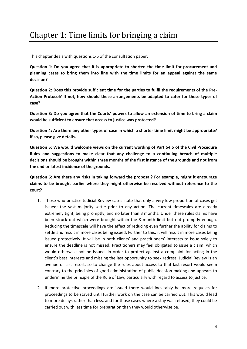This chapter deals with questions 1-6 of the consultation paper:

**Question 1: Do you agree that it is appropriate to shorten the time limit for procurement and planning cases to bring them into line with the time limits for an appeal against the same decision?**

**Question 2: Does this provide sufficient time for the parties to fulfil the requirements of the Pre-Action Protocol? If not, how should these arrangements be adapted to cater for these types of case?**

**Question 3: Do you agree that the Courts' powers to allow an extension of time to bring a claim would be sufficient to ensure that access to justice was protected?**

**Question 4: Are there any other types of case in which a shorter time limit might be appropriate? If so, please give details.**

**Question 5: We would welcome views on the current wording of Part 54.5 of the Civil Procedure Rules and suggestions to make clear that any challenge to a continuing breach of multiple decisions should be brought within three months of the first instance of the grounds and not from the end or latest incidence of the grounds.**

**Question 6: Are there any risks in taking forward the proposal? For example, might it encourage claims to be brought earlier where they might otherwise be resolved without reference to the court?**

- 1. Those who practice Judicial Review cases state that only a very low proportion of cases get issued; the vast majority settle prior to any action. The current timescales are already extremely tight, being promptly, and no later than 3 months. Under these rules claims have been struck out which were brought within the 3 month limit but not promptly enough. Reducing the timescale will have the effect of reducing even further the ability for claims to settle and result in more cases being issued. Further to this, it will result in more cases being issued protectively. It will be in both clients' and practitioners' interests to issue solely to ensure the deadline is not missed. Practitioners may feel obligated to issue a claim, which would otherwise not be issued, in order to protect against a complaint for acting in the client's best interests and missing the last opportunity to seek redress. Judicial Review is an avenue of last resort, so to change the rules about access to that last resort would seem contrary to the principles of good administration of public decision making and appears to undermine the principle of the Rule of Law, particularly with regard to access to justice.
- 2. If more protective proceedings are issued there would inevitably be more requests for proceedings to be stayed until further work on the case can be carried out. This would lead to more delays rather than less, and for those cases where a stay was refused, they could be carried out with less time for preparation than they would otherwise be.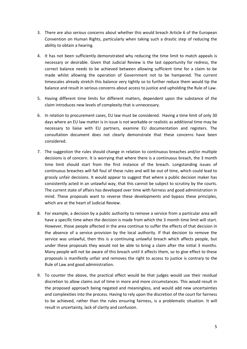- 3. There are also serious concerns about whether this would breach Article 6 of the European Convention on Human Rights, particularly when taking such a drastic step of reducing the ability to obtain a hearing.
- 4. It has not been sufficiently demonstrated why reducing the time limit to match appeals is necessary or desirable. Given that Judicial Review is the last opportunity for redress, the correct balance needs to be achieved between allowing sufficient time for a claim to be made whilst allowing the operation of Government not to be hampered. The current timescales already stretch this balance very tightly so to further reduce them would tip the balance and result in serious concerns about access to justice and upholding the Rule of Law.
- 5. Having different time limits for different matters, dependent upon the substance of the claim introduces new levels of complexity that is unnecessary.
- 6. In relation to procurement cases, EU law must be considered. Having a time limit of only 30 days where an EU law matter is in issue is not workable or realistic as additional time may be necessary to liaise with EU partners, examine EU documentation and registers. The consultation document does not clearly demonstrate that these concerns have been considered.
- 7. The suggestion the rules should change in relation to continuous breaches and/or multiple decisions is of concern. It is worrying that where there is a continuous breach, the 3 month time limit should start from the first instance of the breach. Longstanding issues of continuous breaches will fall foul of these rules and will be out of time, which could lead to grossly unfair decisions. It would appear to suggest that where a public decision maker has consistently acted in an unlawful way, that this cannot be subject to scrutiny by the courts. The current state of affairs has developed over time with fairness and good administration in mind. These proposals want to reverse these developments and bypass these principles, which are at the heart of Judicial Review.
- 8. For example, a decision by a public authority to remove a service from a particular area will have a specific time when the decision is made from which the 3 month time limit will start. However, those people affected in the area continue to suffer the effects of that decision in the absence of a service provision by the local authority. If that decision to remove the service was unlawful, then this is a continuing unlawful breach which affects people, but under these proposals they would not be able to bring a claim after the initial 3 months. Many people will not be aware of this breach until it affects them, so to give effect to these proposals is manifestly unfair and removes the right to access to justice is contrary to the Rule of Law and good administration.
- 9. To counter the above, the practical effect would be that judges would use their residual discretion to allow claims out of time in more and more circumstances. This would result in the proposed approach being negated and meaningless, and would add new uncertainties and complexities into the process. Having to rely upon the discretion of the court for fairness to be achieved, rather than the rules ensuring fairness, is a problematic situation. It will result in uncertainty, lack of clarity and confusion.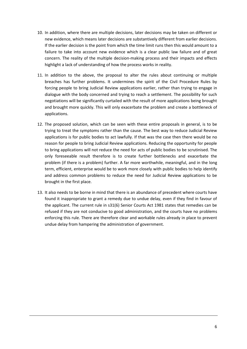- 10. In addition, where there are multiple decisions, later decisions may be taken on different or new evidence, which means later decisions are substantively different from earlier decisions. If the earlier decision is the point from which the time limit runs then this would amount to a failure to take into account new evidence which is a clear public law failure and of great concern. The reality of the multiple decision-making process and their impacts and effects highlight a lack of understanding of how the process works in reality.
- 11. In addition to the above, the proposal to alter the rules about continuing or multiple breaches has further problems. It undermines the spirit of the Civil Procedure Rules by forcing people to bring Judicial Review applications earlier, rather than trying to engage in dialogue with the body concerned and trying to reach a settlement. The possibility for such negotiations will be significantly curtailed with the result of more applications being brought and brought more quickly. This will only exacerbate the problem and create a bottleneck of applications.
- 12. The proposed solution, which can be seen with these entire proposals in general, is to be trying to treat the symptoms rather than the cause. The best way to reduce Judicial Review applications is for public bodies to act lawfully. If that was the case then there would be no reason for people to bring Judicial Review applications. Reducing the opportunity for people to bring applications will not reduce the need for acts of public bodies to be scrutinised. The only foreseeable result therefore is to create further bottlenecks and exacerbate the problem (if there is a problem) further. A far more worthwhile, meaningful, and in the long term, efficient, enterprise would be to work more closely with public bodies to help identify and address common problems to reduce the need for Judicial Review applications to be brought in the first place.
- 13. It also needs to be borne in mind that there is an abundance of precedent where courts have found it inappropriate to grant a remedy due to undue delay, even if they find in favour of the applicant. The current rule in s31(6) Senior Courts Act 1981 states that remedies can be refused if they are not conducive to good administration, and the courts have no problems enforcing this rule. There are therefore clear and workable rules already in place to prevent undue delay from hampering the administration of government.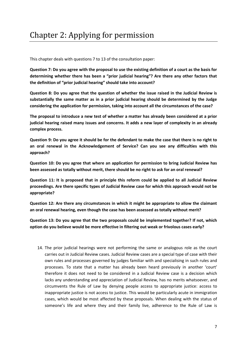This chapter deals with questions 7 to 13 of the consultation paper:

**Question 7: Do you agree with the proposal to use the existing definition of a court as the basis for determining whether there has been a "prior judicial hearing"? Are there any other factors that the definition of "prior judicial hearing" should take into account?**

**Question 8: Do you agree that the question of whether the issue raised in the Judicial Review is substantially the same matter as in a prior judicial hearing should be determined by the Judge considering the application for permission, taking into account all the circumstances of the case?**

**The proposal to introduce a new test of whether a matter has already been considered at a prior judicial hearing raised many issues and concerns. It adds a new layer of complexity in an already complex process.** 

**Question 9: Do you agree it should be for the defendant to make the case that there is no right to an oral renewal in the Acknowledgement of Service? Can you see any difficulties with this approach?**

**Question 10: Do you agree that where an application for permission to bring Judicial Review has been assessed as totally without merit, there should be no right to ask for an oral renewal?**

**Question 11: It is proposed that in principle this reform could be applied to all Judicial Review proceedings. Are there specific types of Judicial Review case for which this approach would not be appropriate?**

**Question 12: Are there any circumstances in which it might be appropriate to allow the claimant an oral renewal hearing, even though the case has been assessed as totally without merit?**

**Question 13: Do you agree that the two proposals could be implemented together? If not, which option do you believe would be more effective in filtering out weak or frivolous cases early?**

14. The prior judicial hearings were not performing the same or analogous role as the court carries out in Judicial Review cases. Judicial Review cases are a special type of case with their own rules and processes governed by judges familiar with and specialising in such rules and processes. To state that a matter has already been heard previously in another 'court' therefore it does not need to be considered in a Judicial Review case is a decision which lacks any understanding and appreciation of Judicial Review, has no merits whatsoever, and circumvents the Rule of Law by denying people access to appropriate justice: access to inappropriate justice is not access to justice. This would be particularly acute in immigration cases, which would be most affected by these proposals. When dealing with the status of someone's life and where they and their family live, adherence to the Rule of Law is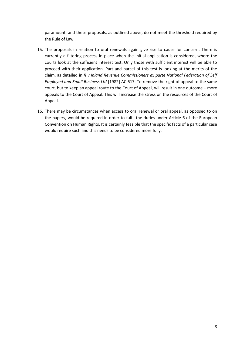paramount, and these proposals, as outlined above, do not meet the threshold required by the Rule of Law.

- 15. The proposals in relation to oral renewals again give rise to cause for concern. There is currently a filtering process in place when the initial application is considered, where the courts look at the sufficient interest test. Only those with sufficient interest will be able to proceed with their application. Part and parcel of this test is looking at the merits of the claim, as detailed in *R v Inland Revenue Commissioners ex parte National Federation of Self Employed and Small Business Ltd* [1982] AC 617. To remove the right of appeal to the same court, but to keep an appeal route to the Court of Appeal, will result in one outcome – more appeals to the Court of Appeal. This will increase the stress on the resources of the Court of Appeal.
- 16. There may be circumstances when access to oral renewal or oral appeal, as opposed to on the papers, would be required in order to fulfil the duties under Article 6 of the European Convention on Human Rights. It is certainly feasible that the specific facts of a particular case would require such and this needs to be considered more fully.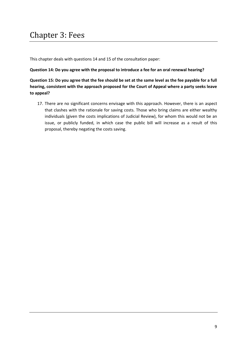## Chapter 3: Fees

This chapter deals with questions 14 and 15 of the consultation paper:

#### **Question 14: Do you agree with the proposal to introduce a fee for an oral renewal hearing?**

**Question 15: Do you agree that the fee should be set at the same level as the fee payable for a full hearing, consistent with the approach proposed for the Court of Appeal where a party seeks leave to appeal?**

17. There are no significant concerns envisage with this approach. However, there is an aspect that clashes with the rationale for saving costs. Those who bring claims are either wealthy individuals (given the costs implications of Judicial Review), for whom this would not be an issue, or publicly funded, in which case the public bill will increase as a result of this proposal, thereby negating the costs saving.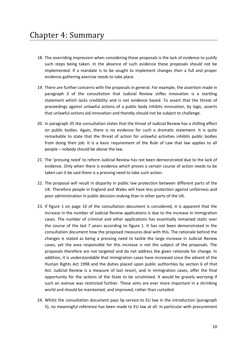- 18. The overriding impression when considering these proposals is the lack of evidence to justify such steps being taken. In the absence of such evidence these proposals should not be implemented. If a mandate is to be sought to implement changes then a full and proper evidence gathering exercise needs to take place.
- 19. There are further concerns with the proposals in general. For example, the assertion made in paragraph 3 of the consultation that Judicial Review stifles innovation is a startling statement which lacks credibility and is not evidence based. To assert that the threat of proceedings against unlawful actions of a public body inhibits innovation, by logic, asserts that unlawful actions aid innovation and thereby should not be subject to challenge.
- 20. In paragraph 35 the consultation states that the threat of Judicial Review has a chilling effect on public bodies. Again, there is no evidence for such a dramatic statement. It is quite remarkable to state that the threat of action for unlawful activities inhibits public bodies from doing their job. It is a basic requirement of the Rule of Law that law applies to all people – nobody should be above the law.
- 21. The 'pressing need' to reform Judicial Review has not been demonstrated due to the lack of evidence. Only when there is evidence which proves a certain course of action needs to be taken can it be said there is a pressing need to take such action.
- 22. The proposal will result in disparity in public law protection between different parts of the UK. Therefore people in England and Wales will have less protection against unfairness and poor administration in public decision-making than in other parts of the UK.
- 23. If figure 1 on page 10 of the consultation document is considered, it is apparent that the increase in the number of Judicial Review applications is due to the increase in immigration cases. The number of criminal and other applications has essentially remained static over the course of the last 7 years according to figure 1. It has not been demonstrated in the consultation document how the proposed measures deal with this. The rationale behind the changes is stated as being a pressing need to tackle the large increase in Judicial Review cases, yet the area responsible for this increase is not the subject of the proposals. The proposals therefore are not targeted and do not address the given rationale for change. In addition, it is understandable that immigration cases have increased since the advent of the Human Rights Act 1998 and the duties placed upon public authorities by section 6 of that Act. Judicial Review is a measure of last resort, and in immigration cases, offer the final opportunity for the actions of the State to be scrutinised. It would be gravely worrying if such an avenue was restricted further. These aims are ever more important in a shrinking world and should be maintained, and improved, rather than curtailed.
- 24. Whilst the consultation document pays lip service to EU law in the introduction (paragraph 5), no meaningful reference has been made to EU law at all. In particular with procurement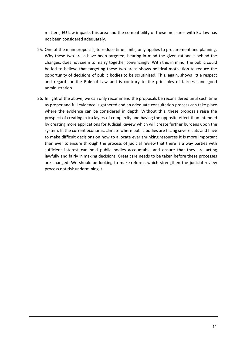matters, EU law impacts this area and the compatibility of these measures with EU law has not been considered adequately.

- 25. One of the main proposals, to reduce time limits, only applies to procurement and planning. Why these two areas have been targeted, bearing in mind the given rationale behind the changes, does not seem to marry together convincingly. With this in mind, the public could be led to believe that targeting these two areas shows political motivation to reduce the opportunity of decisions of public bodies to be scrutinised. This, again, shows little respect and regard for the Rule of Law and is contrary to the principles of fairness and good administration.
- 26. In light of the above, we can only recommend the proposals be reconsidered until such time as proper and full evidence is gathered and an adequate consultation process can take place where the evidence can be considered in depth. Without this, these proposals raise the prospect of creating extra layers of complexity and having the opposite effect than intended by creating more applications for Judicial Review which will create further burdens upon the system. In the current economic climate where public bodies are facing severe cuts and have to make difficult decisions on how to allocate ever shrinking resources it is more important than ever to ensure through the process of judicial review that there is a way parties with sufficient interest can hold public bodies accountable and ensure that they are acting lawfully and fairly in making decisions. Great care needs to be taken before these processes are changed. We should be looking to make reforms which strengthen the judicial review process not risk undermining it.